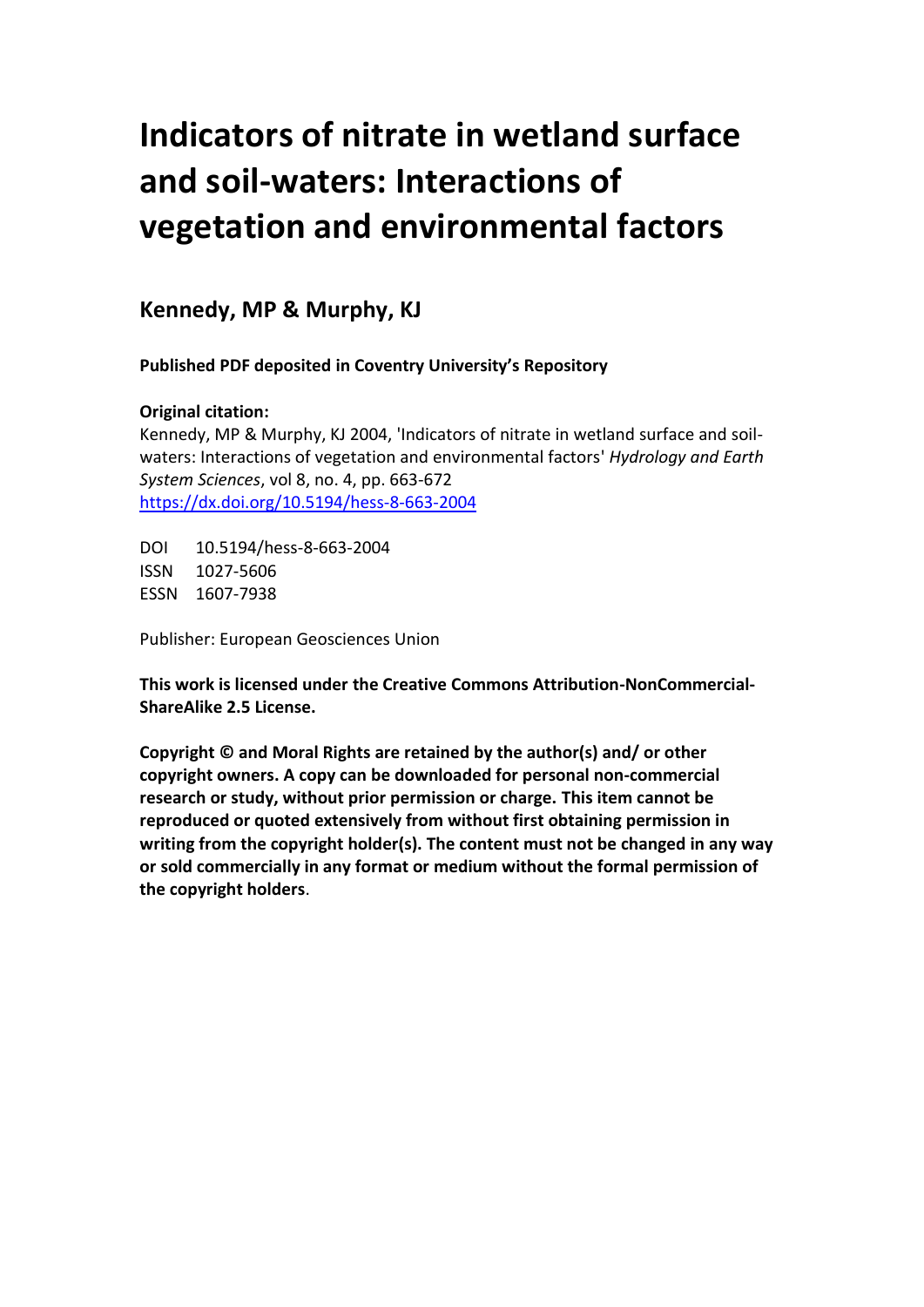# **Indicators of nitrate in wetland surface and soil-waters: Interactions of vegetation and environmental factors**

**Kennedy, MP & Murphy, KJ**

**Published PDF deposited in Coventry University's Repository**

# **Original citation:**

Kennedy, MP & Murphy, KJ 2004, 'Indicators of nitrate in wetland surface and soilwaters: Interactions of vegetation and environmental factors' *Hydrology and Earth System Sciences*, vol 8, no. 4, pp. 663-672 <https://dx.doi.org/10.5194/hess-8-663-2004>

DOI 10.5194/hess-8-663-2004 ISSN 1027-5606 ESSN 1607-7938

Publisher: European Geosciences Union

**This work is licensed under the Creative Commons Attribution-NonCommercial-ShareAlike 2.5 License.**

**Copyright © and Moral Rights are retained by the author(s) and/ or other copyright owners. A copy can be downloaded for personal non-commercial research or study, without prior permission or charge. This item cannot be reproduced or quoted extensively from without first obtaining permission in writing from the copyright holder(s). The content must not be changed in any way or sold commercially in any format or medium without the formal permission of the copyright holders**.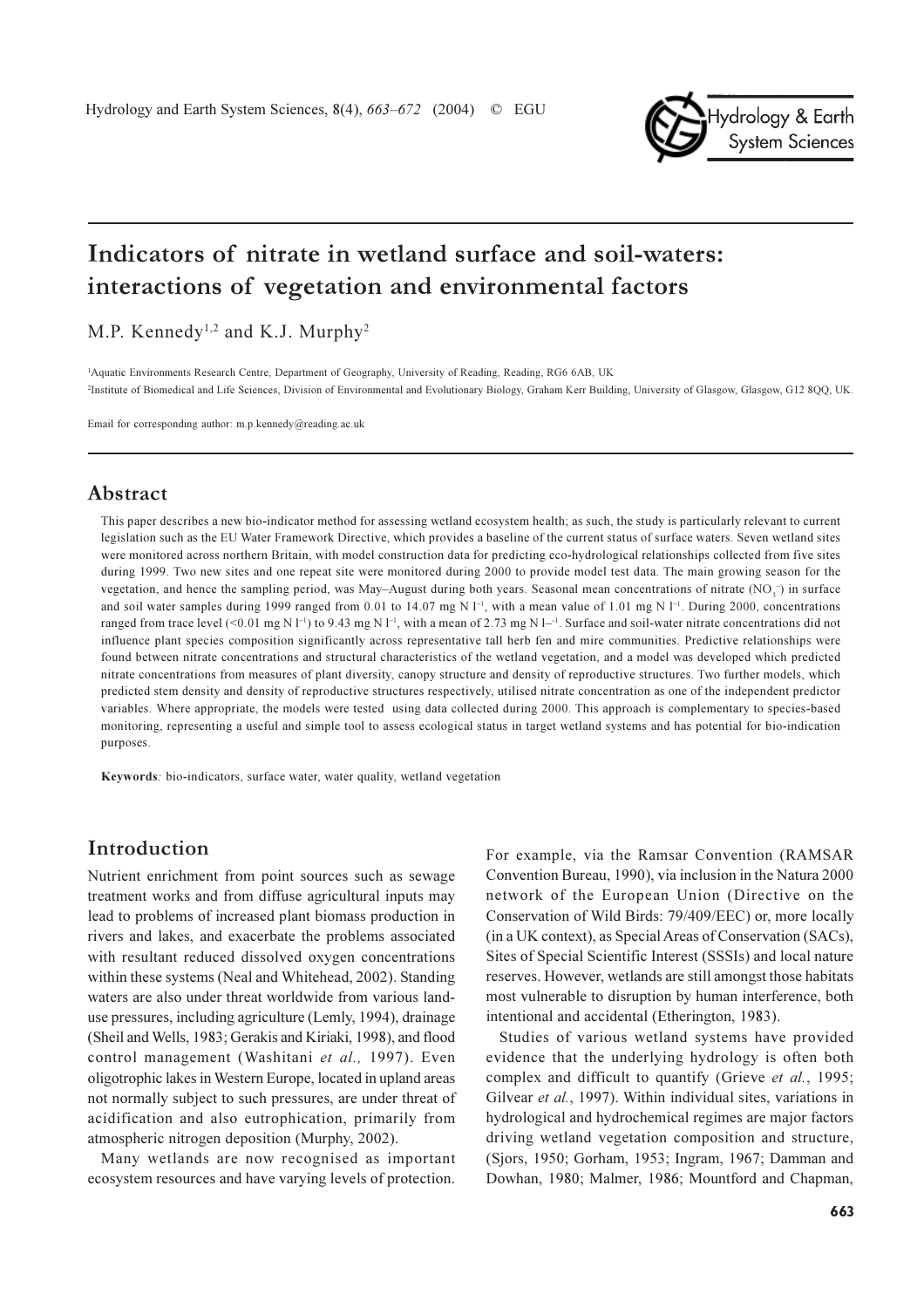

# Indicators of nitrate in wetland surface and soil-waters: interactions of vegetation and environmental factors

M.P. Kennedy<sup>1,2</sup> and K.J. Murphy<sup>2</sup>

<sup>1</sup>Aquatic Environments Research Centre, Department of Geography, University of Reading, Reading, RG6 6AB, UK <sup>2</sup>Institute of Biomedical and Life Sciences, Division of Environmental and Evolutionary Biology, Graham Kerr Building, University of Glasgow, Glasgow, G12 8QQ, UK.

Email for corresponding author:  $m.p.$  kennedv@reading.ac.uk

#### Abstract

This paper describes a new bio-indicator method for assessing wetland ecosystem health; as such, the study is particularly relevant to current legislation such as the EU Water Framework Directive, which provides a baseline of the current status of surface waters. Seven wetland sites were monitored across northern Britain, with model construction data for predicting eco-hydrological relationships collected from five sites during 1999. Two new sites and one repeat site were monitored during 2000 to provide model test data. The main growing season for the yegetation, and hence the sampling period, was May–August during both years. Seasonal mean concentrations of nitrate (NO,<sup>-</sup>) in surface and soil water samples during 1999 ranged from 0.01 to 14.07 mg N  $I^{-1}$ , with a mean value of 1.01 mg N  $I^{-1}$ . During 2000, concentrations ranged from trace level (<0.01 mg N I<sup>-1</sup>) to 9.43 mg N I<sup>-1</sup>, with a mean of 2.73 mg N I<sup>-1</sup>. Surface and soil-water nitrate concentrations did not influence plant species composition significantly across representative tall herb fen and mire communities. Predictive relationships were found between nitrate concentrations and structural characteristics of the wetland vegetation, and a model was developed which predicted nitrate concentrations from measures of plant diversity, canopy structure and density of reproductive structures. Two further models, which predicted stem density and density of reproductive structures respectively, utilised nitrate concentration as one of the independent predictor variables. Where appropriate, the models were tested using data collected during 2000. This approach is complementary to species-based monitoring, representing a useful and simple tool to assess ecological status in target wetland systems and has potential for bio-indication nurnoses

Keywords: bio-indicators, surface water, water quality, wetland vegetation

# Introduction

Nutrient enrichment from point sources such as sewage treatment works and from diffuse agricultural inputs may lead to problems of increased plant biomass production in rivers and lakes, and exacerbate the problems associated with resultant reduced dissolved oxygen concentrations within these systems (Neal and Whitehead, 2002). Standing waters are also under threat worldwide from various landuse pressures, including agriculture (Lemly, 1994), drainage (Sheil and Wells, 1983; Gerakis and Kiriaki, 1998), and flood control management (Washitani et al., 1997). Even oligotrophic lakes in Western Europe, located in upland areas not normally subject to such pressures, are under threat of acidification and also eutrophication, primarily from atmospheric nitrogen deposition (Murphy, 2002).

Many wetlands are now recognised as important ecosystem resources and have varying levels of protection.

For example, via the Ramsar Convention (RAMSAR Convention Bureau, 1990), via inclusion in the Natura 2000 network of the European Union (Directive on the Conservation of Wild Birds: 79/409/EEC) or, more locally (in a UK context), as Special Areas of Conservation (SACs), Sites of Special Scientific Interest (SSSIs) and local nature reserves. However, wetlands are still amongst those habitats most vulnerable to disruption by human interference, both intentional and accidental (Etherington, 1983).

Studies of various wetland systems have provided evidence that the underlying hydrology is often both complex and difficult to quantify (Grieve et al., 1995; Gilvear et al., 1997). Within individual sites, variations in hydrological and hydrochemical regimes are major factors driving wetland vegetation composition and structure, (Sjors, 1950; Gorham, 1953; Ingram, 1967; Damman and Dowhan, 1980; Malmer, 1986; Mountford and Chapman,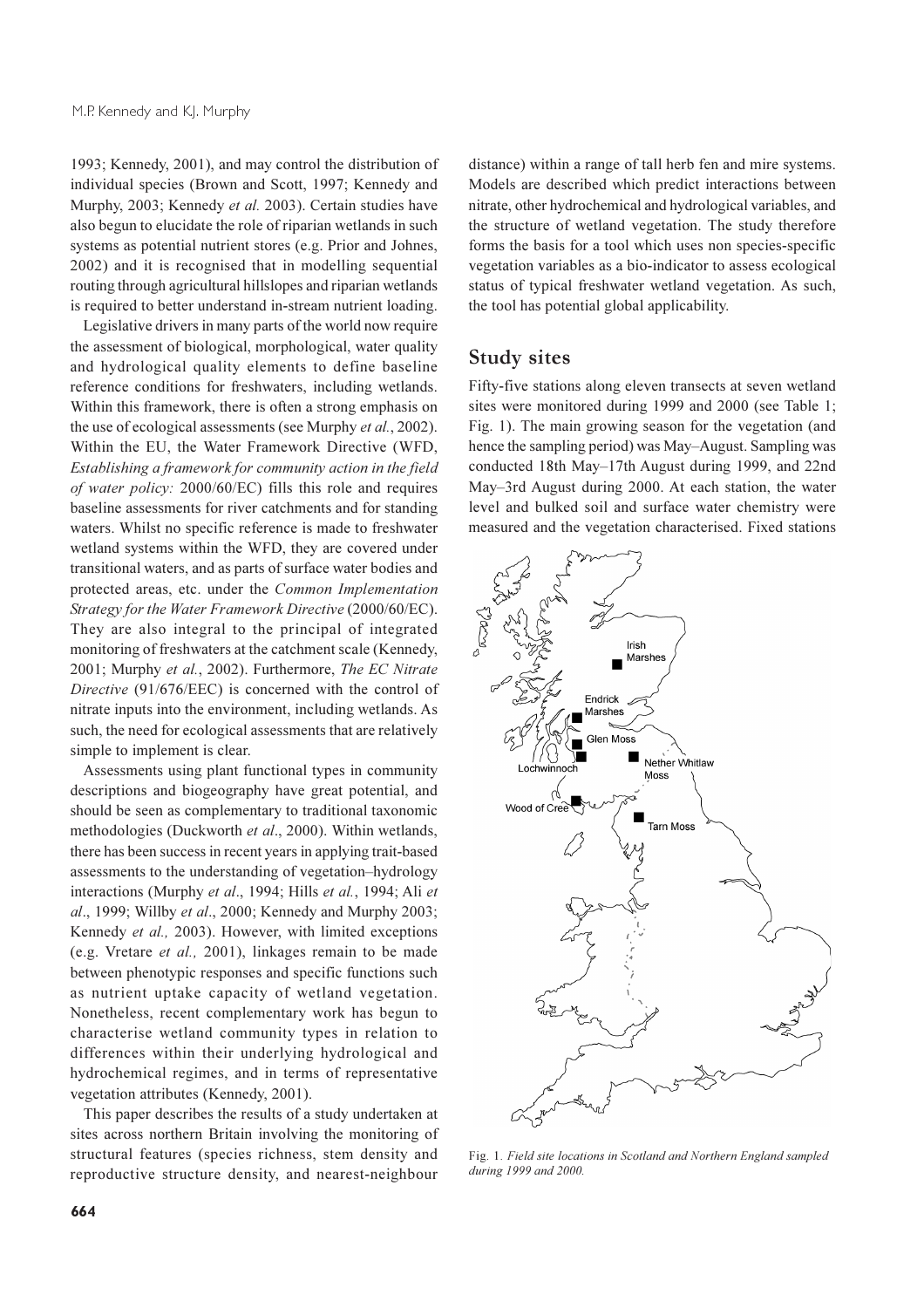1993; Kennedy, 2001), and may control the distribution of individual species (Brown and Scott, 1997; Kennedy and Murphy, 2003; Kennedy et al. 2003). Certain studies have also begun to elucidate the role of riparian wetlands in such systems as potential nutrient stores (e.g. Prior and Johnes, 2002) and it is recognised that in modelling sequential routing through agricultural hillslopes and riparian wetlands is required to better understand in-stream nutrient loading.

Legislative drivers in many parts of the world now require the assessment of biological, morphological, water quality and hydrological quality elements to define baseline reference conditions for freshwaters, including wetlands. Within this framework, there is often a strong emphasis on the use of ecological assessments (see Murphy et al., 2002). Within the EU, the Water Framework Directive (WFD, Establishing a framework for community action in the field of water policy: 2000/60/EC) fills this role and requires baseline assessments for river catchments and for standing waters. Whilst no specific reference is made to freshwater wetland systems within the WFD, they are covered under transitional waters, and as parts of surface water bodies and protected areas, etc. under the Common Implementation Strategy for the Water Framework Directive (2000/60/EC). They are also integral to the principal of integrated monitoring of freshwaters at the catchment scale (Kennedy, 2001; Murphy et al., 2002). Furthermore, The EC Nitrate Directive (91/676/EEC) is concerned with the control of nitrate inputs into the environment, including wetlands. As such, the need for ecological assessments that are relatively simple to implement is clear.

Assessments using plant functional types in community descriptions and biogeography have great potential, and should be seen as complementary to traditional taxonomic methodologies (Duckworth et al., 2000). Within wetlands, there has been success in recent years in applying trait-based assessments to the understanding of vegetation-hydrology interactions (Murphy et al., 1994; Hills et al., 1994; Ali et al., 1999; Willby et al., 2000; Kennedy and Murphy 2003; Kennedy et al., 2003). However, with limited exceptions (e.g. Vretare et al., 2001), linkages remain to be made between phenotypic responses and specific functions such as nutrient uptake capacity of wetland vegetation. Nonetheless, recent complementary work has begun to characterise wetland community types in relation to differences within their underlying hydrological and hydrochemical regimes, and in terms of representative vegetation attributes (Kennedy, 2001).

This paper describes the results of a study undertaken at sites across northern Britain involving the monitoring of structural features (species richness, stem density and reproductive structure density, and nearest-neighbour

distance) within a range of tall herb fen and mire systems. Models are described which predict interactions between nitrate, other hydrochemical and hydrological variables, and the structure of wetland vegetation. The study therefore forms the basis for a tool which uses non species-specific vegetation variables as a bio-indicator to assess ecological status of typical freshwater wetland vegetation. As such, the tool has potential global applicability.

#### **Study sites**

Fifty-five stations along eleven transects at seven wetland sites were monitored during 1999 and 2000 (see Table 1; Fig. 1). The main growing season for the vegetation (and hence the sampling period) was May-August. Sampling was conducted 18th May-17th August during 1999, and 22nd May–3rd August during 2000. At each station, the water level and bulked soil and surface water chemistry were measured and the vegetation characterised. Fixed stations



Fig. 1. Field site locations in Scotland and Northern England sampled during 1999 and 2000.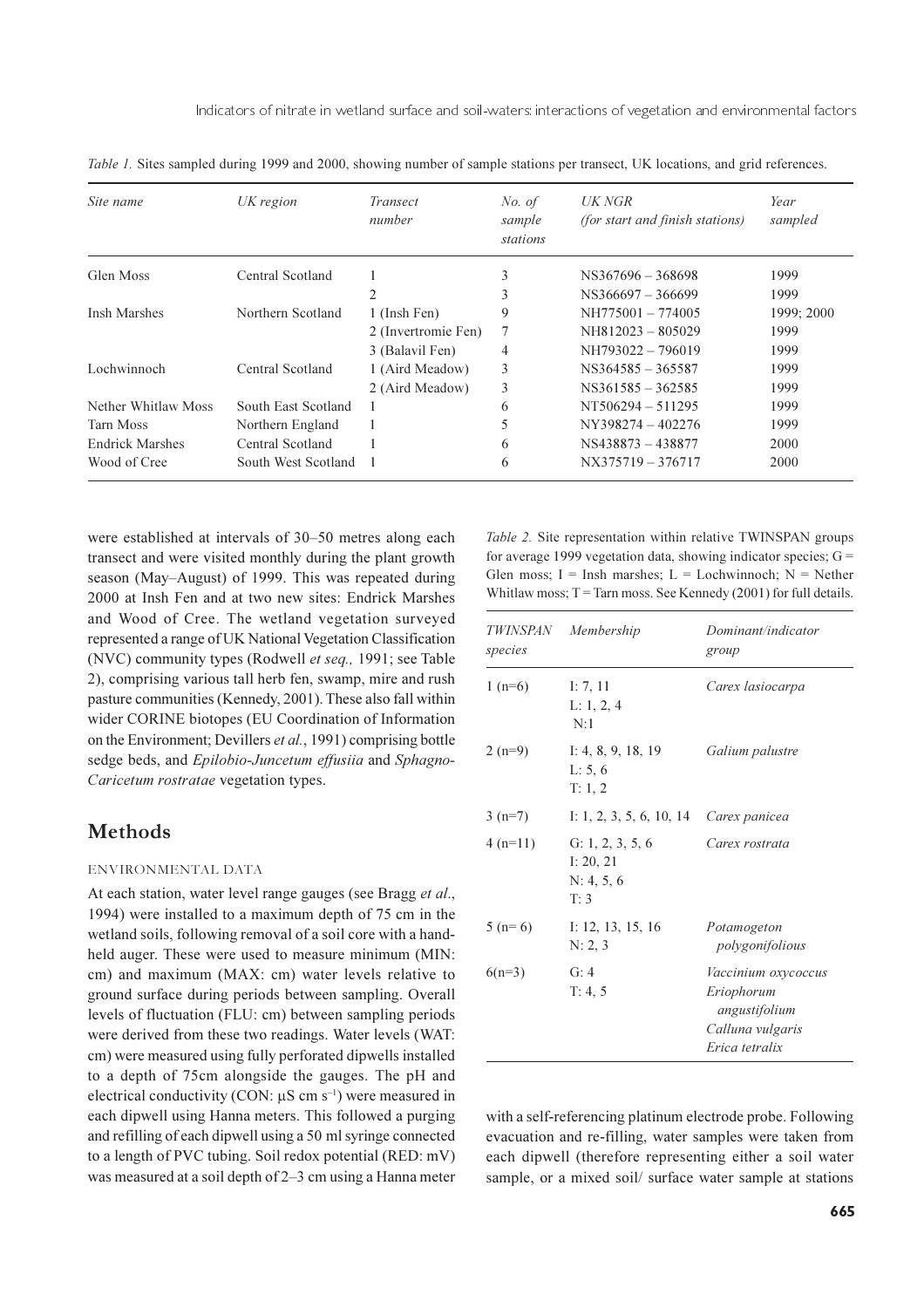| Site name              | UK region           | Transect<br>number  | No. of<br>sample<br>stations | UK NGR<br><i>(for start and finish stations)</i> | Year<br>sampled |
|------------------------|---------------------|---------------------|------------------------------|--------------------------------------------------|-----------------|
| Glen Moss              | Central Scotland    |                     | 3                            | NS367696 - 368698                                | 1999            |
|                        |                     | 2                   | 3                            | $NS366697 - 366699$                              | 1999            |
| Insh Marshes           | Northern Scotland   | 1 (Insh Fen)        | 9                            | NH775001-774005                                  | 1999; 2000      |
|                        |                     | 2 (Invertromie Fen) | 7                            | $NH812023 - 805029$                              | 1999            |
|                        |                     | 3 (Balavil Fen)     | 4                            | NH793022 - 796019                                | 1999            |
| Lochwinnoch            | Central Scotland    | 1 (Aird Meadow)     | 3                            | NS364585 - 365587                                | 1999            |
|                        |                     | 2 (Aird Meadow)     | 3                            | NS361585 - 362585                                | 1999            |
| Nether Whitlaw Moss    | South East Scotland |                     | 6                            | $NT506294 - 511295$                              | 1999            |
| Tarn Moss              | Northern England    |                     | 5                            | NY398274 - 402276                                | 1999            |
| <b>Endrick Marshes</b> | Central Scotland    |                     | 6                            | NS438873 - 438877                                | 2000            |
| Wood of Cree           | South West Scotland |                     | 6                            | NX375719 - 376717                                | 2000            |

Table 1. Sites sampled during 1999 and 2000, showing number of sample stations per transect, UK locations, and grid references.

were established at intervals of 30–50 metres along each transect and were visited monthly during the plant growth season (May–August) of 1999. This was repeated during 2000 at Insh Fen and at two new sites: Endrick Marshes and Wood of Cree. The wetland vegetation surveyed represented a range of UK National Vegetation Classification (NVC) community types (Rodwell et seq., 1991; see Table 2), comprising various tall herb fen, swamp, mire and rush pasture communities (Kennedy, 2001). These also fall within wider CORINE biotopes (EU Coordination of Information on the Environment; Devillers et al., 1991) comprising bottle sedge beds, and Epilobio-Juncetum effusiia and Sphagno-Caricetum rostratae vegetation types.

# **Methods**

#### ENVIRONMENTAL DATA

At each station, water level range gauges (see Bragg et al., 1994) were installed to a maximum depth of 75 cm in the wetland soils, following removal of a soil core with a handheld auger. These were used to measure minimum (MIN: cm) and maximum (MAX: cm) water levels relative to ground surface during periods between sampling. Overall levels of fluctuation (FLU: cm) between sampling periods were derived from these two readings. Water levels (WAT: cm) were measured using fully perforated dipwells installed to a depth of 75cm alongside the gauges. The pH and electrical conductivity (CON:  $\mu$ S cm s<sup>-1</sup>) were measured in each dipwell using Hanna meters. This followed a purging and refilling of each dipwell using a 50 ml syringe connected to a length of PVC tubing. Soil redox potential (RED: mV) was measured at a soil depth of 2–3 cm using a Hanna meter

Table 2. Site representation within relative TWINSPAN groups for average 1999 vegetation data, showing indicator species;  $G =$ Glen moss;  $I = Insh$  marshes;  $L = Lochwinnoch$ ;  $N = Nether$ Whitlaw moss;  $T =$  Tarn moss. See Kennedy (2001) for full details.

| species   | TWINSPAN Membership                                   | Dominant/indicator<br>group                                                              |
|-----------|-------------------------------------------------------|------------------------------------------------------------------------------------------|
| $1(n=6)$  | I: $7, 11$<br>L: 1, 2, 4<br>N:1                       | Carex lasiocarpa                                                                         |
| $2(n=9)$  | I: 4, 8, 9, 18, 19<br>L: 5, 6<br>T: 1, 2              | Galium palustre                                                                          |
| $3(n=7)$  | I: 1, 2, 3, 5, 6, 10, 14 Carex panicea                |                                                                                          |
| $4(n=11)$ | G: 1, 2, 3, 5, 6<br>I: $20, 21$<br>N: 4, 5, 6<br>T: 3 | Carex rostrata                                                                           |
| $5(n=6)$  | I: 12, 13, 15, 16<br>N: 2, 3                          | Potamogeton<br>polygonifolious                                                           |
| $6(n=3)$  | G: $4$<br>T: 4, 5                                     | Vaccinium oxycoccus<br>Eriophorum<br>angustifolium<br>Calluna vulgaris<br>Erica tetralix |

with a self-referencing platinum electrode probe. Following evacuation and re-filling, water samples were taken from each dipwell (therefore representing either a soil water sample, or a mixed soil/ surface water sample at stations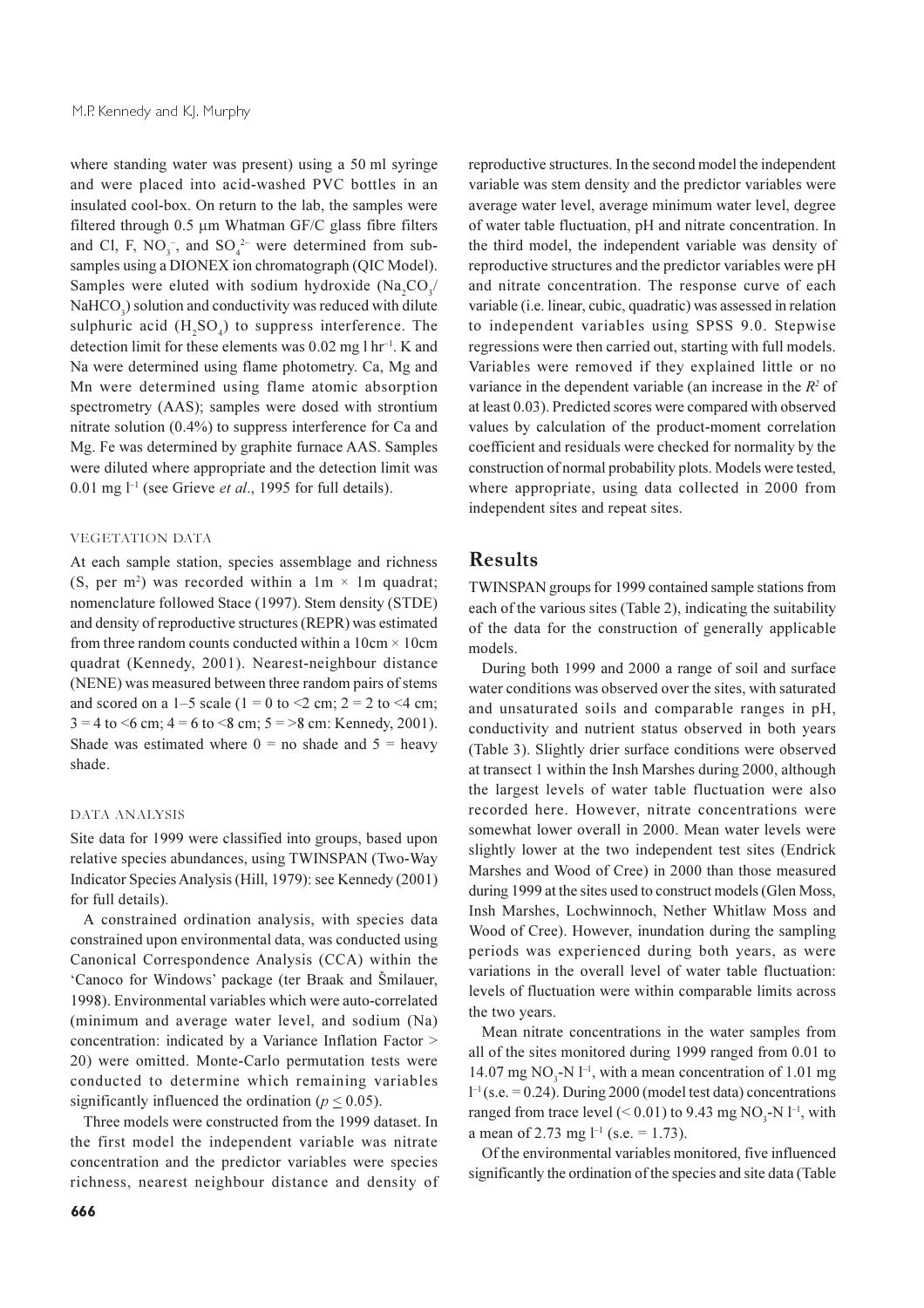where standing water was present) using a 50 ml syringe and were placed into acid-washed PVC bottles in an insulated cool-box. On return to the lab, the samples were filtered through 0.5 µm Whatman GF/C glass fibre filters and Cl, F, NO<sub>3</sub><sup>-</sup>, and SO<sub>4</sub><sup>2-</sup> were determined from subsamples using a DIONEX ion chromatograph (QIC Model). Samples were eluted with sodium hydroxide (Na,CO,/ NaHCO<sub>2</sub>) solution and conductivity was reduced with dilute sulphuric acid  $(H, SO<sub>a</sub>)$  to suppress interference. The detection limit for these elements was  $0.02$  mg l hr<sup>-1</sup>. K and Na were determined using flame photometry. Ca, Mg and Mn were determined using flame atomic absorption spectrometry (AAS); samples were dosed with strontium nitrate solution  $(0.4\%)$  to suppress interference for Ca and Mg. Fe was determined by graphite furnace AAS. Samples were diluted where appropriate and the detection limit was 0.01 mg  $l^{-1}$  (see Grieve *et al.*, 1995 for full details).

#### **VEGETATION DATA**

At each sample station, species assemblage and richness (S, per m<sup>2</sup>) was recorded within a  $1m \times 1m$  quadrat; nomenclature followed Stace (1997). Stem density (STDE) and density of reproductive structures (REPR) was estimated from three random counts conducted within a  $10 \text{cm} \times 10 \text{cm}$ quadrat (Kennedy, 2001). Nearest-neighbour distance (NENE) was measured between three random pairs of stems and scored on a 1–5 scale (1 = 0 to <2 cm; 2 = 2 to <4 cm;  $3 = 4$  to  $\leq 6$  cm;  $4 = 6$  to  $\leq 8$  cm;  $5 = 8$  cm; Kennedy, 2001). Shade was estimated where  $0 =$  no shade and  $5 =$  heavy shade.

#### DATA ANALYSIS

Site data for 1999 were classified into groups, based upon relative species abundances, using TWINSPAN (Two-Way Indicator Species Analysis (Hill, 1979): see Kennedy (2001) for full details).

A constrained ordination analysis, with species data constrained upon environmental data, was conducted using Canonical Correspondence Analysis (CCA) within the 'Canoco for Windows' package (ter Braak and Šmilauer, 1998). Environmental variables which were auto-correlated (minimum and average water level, and sodium (Na) concentration: indicated by a Variance Inflation Factor > 20) were omitted. Monte-Carlo permutation tests were conducted to determine which remaining variables significantly influenced the ordination ( $p < 0.05$ ).

Three models were constructed from the 1999 dataset. In the first model the independent variable was nitrate concentration and the predictor variables were species richness, nearest neighbour distance and density of reproductive structures. In the second model the independent variable was stem density and the predictor variables were average water level, average minimum water level, degree of water table fluctuation, pH and nitrate concentration. In the third model, the independent variable was density of reproductive structures and the predictor variables were pH and nitrate concentration. The response curve of each variable (i.e. linear, cubic, quadratic) was assessed in relation to independent variables using SPSS 9.0. Stepwise regressions were then carried out, starting with full models. Variables were removed if they explained little or no variance in the dependent variable (an increase in the  $R^2$  of at least 0.03). Predicted scores were compared with observed values by calculation of the product-moment correlation coefficient and residuals were checked for normality by the construction of normal probability plots. Models were tested, where appropriate, using data collected in 2000 from independent sites and repeat sites.

### **Results**

TWINSPAN groups for 1999 contained sample stations from each of the various sites (Table 2), indicating the suitability of the data for the construction of generally applicable models.

During both 1999 and 2000 a range of soil and surface water conditions was observed over the sites, with saturated and unsaturated soils and comparable ranges in pH, conductivity and nutrient status observed in both years (Table 3). Slightly drier surface conditions were observed at transect 1 within the Insh Marshes during 2000, although the largest levels of water table fluctuation were also recorded here. However, nitrate concentrations were somewhat lower overall in 2000. Mean water levels were slightly lower at the two independent test sites (Endrick Marshes and Wood of Cree) in 2000 than those measured during 1999 at the sites used to construct models (Glen Moss, Insh Marshes, Lochwinnoch, Nether Whitlaw Moss and Wood of Cree). However, inundation during the sampling periods was experienced during both years, as were variations in the overall level of water table fluctuation: levels of fluctuation were within comparable limits across the two years.

Mean nitrate concentrations in the water samples from all of the sites monitored during 1999 ranged from 0.01 to 14.07 mg NO<sub>3</sub>-N  $l^{-1}$ , with a mean concentration of 1.01 mg  $l^{-1}$  (s.e. = 0.24). During 2000 (model test data) concentrations ranged from trace level  $(< 0.01$ ) to 9.43 mg NO<sub>2</sub>-N l<sup>-1</sup>, with a mean of 2.73 mg  $l^{-1}$  (s.e. = 1.73).

Of the environmental variables monitored, five influenced significantly the ordination of the species and site data (Table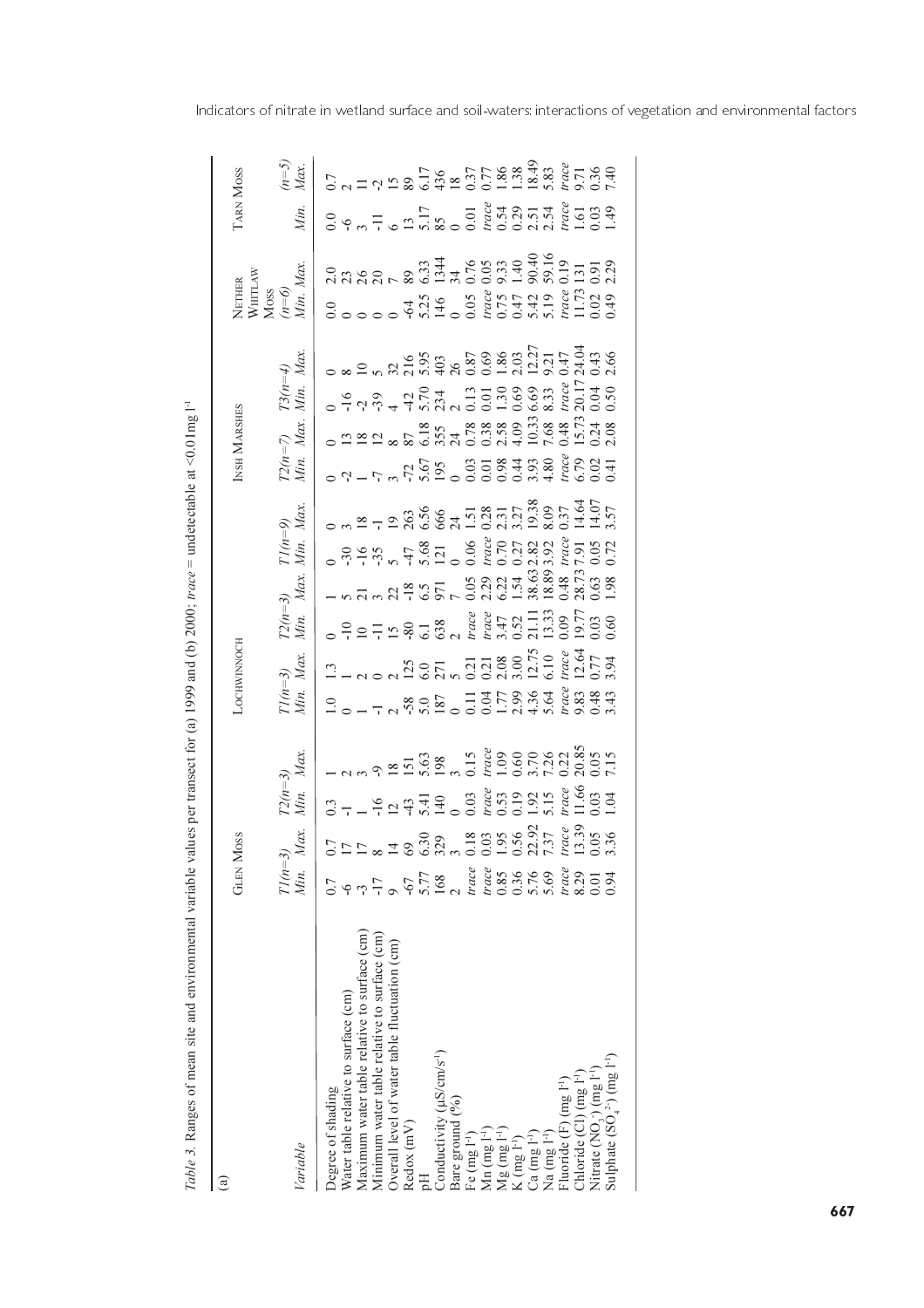| $\widehat{a}$                                                                                | <b>GLEN MOSS</b>                                                                                                                                                                            |                                                                                                                                                                                                                                 |                                          | <b>OCHWINNOCH</b>                                                                                                                                                       |                            |                        |                                                                                                                                                                                                                                                | INSH MARSHES                               |  | NETHER<br>WHITLAW<br>MOSS<br>( $n=6$ )<br>( $n=6$ )<br>Min. Max. |                                                                                                                                   | <b>LARN MOSS</b>                                                                                                                                                                                                                   |                                                                                                                           |
|----------------------------------------------------------------------------------------------|---------------------------------------------------------------------------------------------------------------------------------------------------------------------------------------------|---------------------------------------------------------------------------------------------------------------------------------------------------------------------------------------------------------------------------------|------------------------------------------|-------------------------------------------------------------------------------------------------------------------------------------------------------------------------|----------------------------|------------------------|------------------------------------------------------------------------------------------------------------------------------------------------------------------------------------------------------------------------------------------------|--------------------------------------------|--|------------------------------------------------------------------|-----------------------------------------------------------------------------------------------------------------------------------|------------------------------------------------------------------------------------------------------------------------------------------------------------------------------------------------------------------------------------|---------------------------------------------------------------------------------------------------------------------------|
| Variable                                                                                     | Min. Max<br>$T1(n=3)$                                                                                                                                                                       |                                                                                                                                                                                                                                 | $\overline{Max}$<br>$T2(n=3)$<br>Min. Mo | $T1(n=3)$<br>Min. Max.                                                                                                                                                  | $T2(n=3)$ 7<br>Min. Max. 1 | $T1(n=9)$<br>Min. Max. |                                                                                                                                                                                                                                                | $T2(n=7)$ $T3(n=4)$<br>Min. Max. Min. Max. |  |                                                                  |                                                                                                                                   | Min.                                                                                                                                                                                                                               | $\begin{array}{c} (n=5) \\ Max. \end{array}$                                                                              |
| Water table relative to surface (cm)<br>Degree of shading                                    |                                                                                                                                                                                             |                                                                                                                                                                                                                                 |                                          |                                                                                                                                                                         |                            |                        |                                                                                                                                                                                                                                                |                                            |  |                                                                  |                                                                                                                                   |                                                                                                                                                                                                                                    |                                                                                                                           |
| Maximum water table relative to surface (cm)<br>Minimum water table relative to surface (cm) | $\frac{1}{2}$ $\approx$ $\frac{1}{2}$ $\frac{1}{2}$<br>$7\frac{1}{2}$                                                                                                                       | $37 - 927$ $- 727$ $- 727$ $- 727$ $- 727$ $- 727$ $- 727$ $- 727$ $- 727$ $- 727$ $- 727$ $- 727$ $- 727$ $- 727$ $- 727$ $- 727$ $- 727$ $- 727$ $- 727$ $- 727$ $- 727$ $- 727$ $- 727$ $- 727$ $- 727$ $- 727$ $- 727$ $- $ | $\frac{1}{2}$                            | $1.3$<br>$1.4$ $0.27$<br>$1.5$ $0.77$<br>$0.77$<br>$0.77$<br>$0.77$<br>$0.77$<br>$0.77$<br>$0.77$<br>$0.77$<br>$0.77$<br>$0.77$<br>$0.77$<br>$0.77$<br>$0.77$<br>$0.77$ |                            |                        | $0.7 - 7.5.55$ $0.7 - 7.5.55$ $0.7 - 7.5.55$ $0.7 - 7.5.55$ $0.7 - 7.5.55$ $0.7 - 7.5.55$ $0.7 - 7.5.55$ $0.7 - 7.5.55$ $0.7 - 7.5.55$ $0.7 - 7.5.55$ $0.7 - 7.5.55$ $0.7 - 7.5.55$ $0.7 - 7.5.55$ $0.7 - 7.5.55$ $0.7 - 7.5.55$ $0.7 - 7.5.5$ | $\circ$ 222 235 345 38880538885524548      |  |                                                                  | $3.78885$ $3.78875$ $3.78875$ $3.78875$ $3.78875$ $3.78875$ $3.78875$ $3.78875$ $3.78875$ $3.78875$ $3.78875$ $3.78875$ $3.78875$ | $0.99$<br>$0.75$<br>$0.75$<br>$0.75$<br>$0.75$<br>$0.75$<br>$0.75$<br>$0.75$<br>$0.75$<br>$0.75$<br>$0.75$<br>$0.75$<br>$0.75$<br>$0.75$<br>$0.75$<br>$0.75$<br>$0.75$<br>$0.75$<br>$0.75$<br>$0.75$<br>$0.75$<br>$0.75$<br>$0.75$ | $0.7$<br>$0.179280726$<br>$0.776$<br>$0.776$<br>$0.776$<br>$0.776$<br>$0.776$<br>$0.776$<br>$0.776$<br>$0.776$<br>$0.776$ |
| Overall level of water table fluctuation (cm)                                                |                                                                                                                                                                                             |                                                                                                                                                                                                                                 |                                          |                                                                                                                                                                         |                            |                        |                                                                                                                                                                                                                                                |                                            |  |                                                                  |                                                                                                                                   |                                                                                                                                                                                                                                    |                                                                                                                           |
| Redox(mV)                                                                                    |                                                                                                                                                                                             |                                                                                                                                                                                                                                 |                                          |                                                                                                                                                                         |                            |                        |                                                                                                                                                                                                                                                |                                            |  |                                                                  |                                                                                                                                   |                                                                                                                                                                                                                                    |                                                                                                                           |
| Conductivity $(\mu S/cm/s^{-1})$<br>Bare ground (%)                                          | $-67$<br>5.77<br>168<br>trace                                                                                                                                                               |                                                                                                                                                                                                                                 |                                          |                                                                                                                                                                         |                            |                        |                                                                                                                                                                                                                                                |                                            |  |                                                                  |                                                                                                                                   |                                                                                                                                                                                                                                    |                                                                                                                           |
| Fe $(mg 1^{-1})$                                                                             |                                                                                                                                                                                             |                                                                                                                                                                                                                                 |                                          |                                                                                                                                                                         |                            |                        |                                                                                                                                                                                                                                                |                                            |  |                                                                  |                                                                                                                                   |                                                                                                                                                                                                                                    |                                                                                                                           |
| Mn $(mg I^{-1})$                                                                             | $\frac{trace}{0.85}$                                                                                                                                                                        |                                                                                                                                                                                                                                 |                                          |                                                                                                                                                                         |                            |                        |                                                                                                                                                                                                                                                |                                            |  |                                                                  |                                                                                                                                   |                                                                                                                                                                                                                                    |                                                                                                                           |
| $Mg (mg 1^{-1})$<br>K $(mg 1^{-1})$                                                          | $\frac{1300}{6000}$<br>$\frac{300}{600}$<br>$\frac{300}{600}$<br>$\frac{300}{600}$<br>$\frac{300}{600}$<br>$\frac{300}{600}$<br>$\frac{300}{600}$<br>$\frac{300}{600}$<br>$\frac{300}{600}$ |                                                                                                                                                                                                                                 |                                          |                                                                                                                                                                         |                            |                        |                                                                                                                                                                                                                                                |                                            |  |                                                                  |                                                                                                                                   |                                                                                                                                                                                                                                    |                                                                                                                           |
| $Ca$ (mg $1^{-1}$ )                                                                          | $0.36$<br>5.76                                                                                                                                                                              |                                                                                                                                                                                                                                 |                                          |                                                                                                                                                                         |                            |                        |                                                                                                                                                                                                                                                |                                            |  |                                                                  |                                                                                                                                   |                                                                                                                                                                                                                                    |                                                                                                                           |
| Na (mg 1 <sup>-1</sup> )                                                                     |                                                                                                                                                                                             |                                                                                                                                                                                                                                 |                                          |                                                                                                                                                                         |                            |                        |                                                                                                                                                                                                                                                |                                            |  |                                                                  |                                                                                                                                   |                                                                                                                                                                                                                                    |                                                                                                                           |
| Fluoride (F) (mg l <sup>-1</sup> )                                                           | trace                                                                                                                                                                                       |                                                                                                                                                                                                                                 |                                          |                                                                                                                                                                         |                            |                        |                                                                                                                                                                                                                                                |                                            |  |                                                                  |                                                                                                                                   |                                                                                                                                                                                                                                    |                                                                                                                           |
| Chloride (CI) (mg I <sup>-1</sup> )                                                          | 8.29                                                                                                                                                                                        |                                                                                                                                                                                                                                 |                                          |                                                                                                                                                                         |                            |                        |                                                                                                                                                                                                                                                |                                            |  |                                                                  |                                                                                                                                   |                                                                                                                                                                                                                                    |                                                                                                                           |
| Nitrate $(NO, \cdot)$ (mg $I^{-1}$ )                                                         | 0.01                                                                                                                                                                                        |                                                                                                                                                                                                                                 |                                          |                                                                                                                                                                         |                            |                        |                                                                                                                                                                                                                                                |                                            |  |                                                                  |                                                                                                                                   |                                                                                                                                                                                                                                    |                                                                                                                           |
| Sulphate $(SO42)(mg 1-1)$                                                                    | 0.94                                                                                                                                                                                        |                                                                                                                                                                                                                                 |                                          |                                                                                                                                                                         |                            |                        |                                                                                                                                                                                                                                                |                                            |  |                                                                  |                                                                                                                                   |                                                                                                                                                                                                                                    |                                                                                                                           |

Table 3. Ranges of mean site and environmental variable values per transect for (a) 1999 and (b) 2000; trace = undetectable at <0.01mg  $1<sup>1</sup>$ 

Indicators of nitrate in wetland surface and soil-waters: interactions of vegetation and environmental factors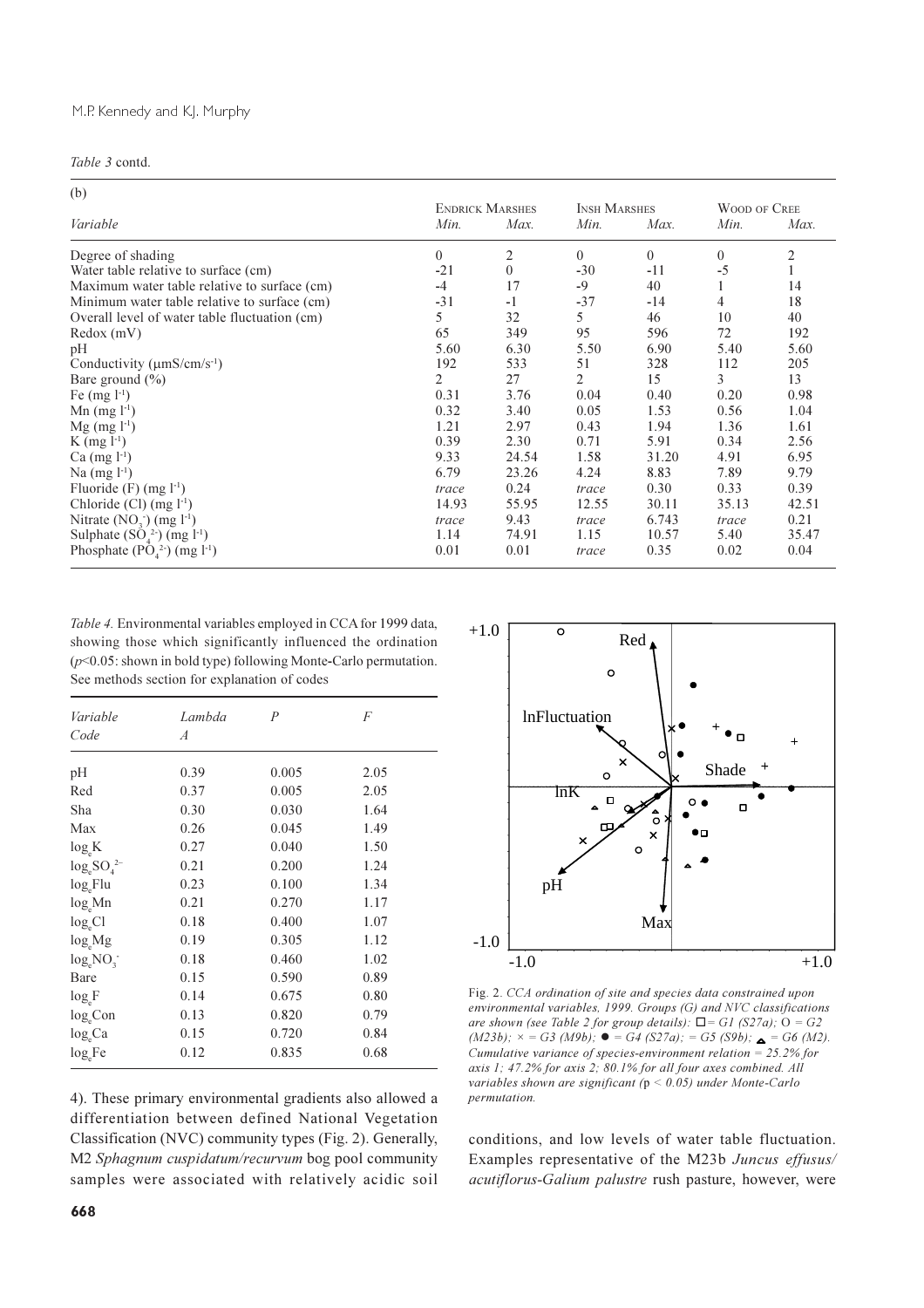| (b)                                                         |                |                        |                     |          |                |                |
|-------------------------------------------------------------|----------------|------------------------|---------------------|----------|----------------|----------------|
|                                                             |                | <b>ENDRICK MARSHES</b> | <b>INSH MARSHES</b> |          | WOOD OF CREE   |                |
| Variable                                                    | Min.           | Max.                   | Min.                | Max.     | Min.           | Max.           |
| Degree of shading                                           | $\overline{0}$ | 2                      | $\theta$            | $\Omega$ | $\overline{0}$ | $\mathfrak{2}$ |
| Water table relative to surface (cm)                        | $-21$          | $\theta$               | $-30$               | $-11$    | $-5$           |                |
| Maximum water table relative to surface (cm)                | $-4$           | 17                     | $-9$                | 40       |                | 14             |
| Minimum water table relative to surface (cm)                | $-31$          | $-1$                   | $-37$               | -14      | 4              | 18             |
| Overall level of water table fluctuation (cm)               | 5              | 32                     | 5                   | 46       | 10             | 40             |
| Redox(mV)                                                   | 65             | 349                    | 95                  | 596      | 72             | 192            |
| pH                                                          | 5.60           | 6.30                   | 5.50                | 6.90     | 5.40           | 5.60           |
| Conductivity $(\mu$ mS/cm/s <sup>-1</sup> )                 | 192            | 533                    | 51                  | 328      | 112            | 205            |
| Bare ground $(\% )$                                         | 2              | 27                     | $\overline{2}$      | 15       | 3              | 13             |
| Fe $(mg l^{-1})$                                            | 0.31           | 3.76                   | 0.04                | 0.40     | 0.20           | 0.98           |
| Mn $(mg l^{-1})$                                            | 0.32           | 3.40                   | 0.05                | 1.53     | 0.56           | 1.04           |
| $Mg$ (mg $l^{-1}$ )                                         | 1.21           | 2.97                   | 0.43                | 1.94     | 1.36           | 1.61           |
| $K$ (mg $l^{-1}$ )                                          | 0.39           | 2.30                   | 0.71                | 5.91     | 0.34           | 2.56           |
| $Ca$ (mg $l^{-1}$ )                                         | 9.33           | 24.54                  | 1.58                | 31.20    | 4.91           | 6.95           |
| $Na$ (mg $l^{-1}$ )                                         | 6.79           | 23.26                  | 4.24                | 8.83     | 7.89           | 9.79           |
| Fluoride $(F)$ (mg $l^{-1}$ )                               | trace          | 0.24                   | trace               | 0.30     | 0.33           | 0.39           |
| Chloride $(Cl)$ (mg $l^{-1}$ )                              | 14.93          | 55.95                  | 12.55               | 30.11    | 35.13          | 42.51          |
| Nitrate $(NO3) (mg l-1)$                                    | trace          | 9.43                   | trace               | 6.743    | trace          | 0.21           |
| Sulphate $(SO_4^2)$ (mg l <sup>-1</sup> )                   | 1.14           | 74.91                  | 1.15                | 10.57    | 5.40           | 35.47          |
| Phosphate $(\overline{P}\dot{O}_4^2)$ (mg l <sup>-1</sup> ) | 0.01           | 0.01                   | trace               | 0.35     | 0.02           | 0.04           |

Table 4. Environmental variables employed in CCA for 1999 data. showing those which significantly influenced the ordination  $(p<0.05$ : shown in bold type) following Monte-Carlo permutation. See methods section for explanation of codes

| Variable          | Lambda | $\overline{P}$ | F    |
|-------------------|--------|----------------|------|
| Code              | A      |                |      |
| pH                | 0.39   | 0.005          | 2.05 |
| Red               | 0.37   | 0.005          | 2.05 |
| Sha               | 0.30   | 0.030          | 1.64 |
| Max               | 0.26   | 0.045          | 1.49 |
| $log_e K$         | 0.27   | 0.040          | 1.50 |
| $log_e SO_4^{2-}$ | 0.21   | 0.200          | 1.24 |
| $log_e$ Flu       | 0.23   | 0.100          | 1.34 |
| $log_e Mn$        | 0.21   | 0.270          | 1.17 |
| $log_eCl$         | 0.18   | 0.400          | 1.07 |
| $log_eMg$         | 0.19   | 0.305          | 1.12 |
| $log_e NO_3$      | 0.18   | 0.460          | 1.02 |
| Bare              | 0.15   | 0.590          | 0.89 |
| $log_e F$         | 0.14   | 0.675          | 0.80 |
| $log_{e}Con$      | 0.13   | 0.820          | 0.79 |
| $log_{e}Ca$       | 0.15   | 0.720          | 0.84 |
| $log_e Fe$        | 0.12   | 0.835          | 0.68 |

4). These primary environmental gradients also allowed a differentiation between defined National Vegetation Classification (NVC) community types (Fig. 2). Generally, M2 Sphagnum cuspidatum/recurvum bog pool community samples were associated with relatively acidic soil



Fig. 2. CCA ordination of site and species data constrained upon environmental variables, 1999. Groups (G) and NVC classifications are shown (see Table 2 for group details):  $\Box$  = G1 (S27a);  $O = G2$  $(M23b)$ ;  $\times = G3 (M9b)$ ;  $\bullet = G4 (S27a)$ ;  $= G5 (S9b)$ ;  $\bullet = G6 (M2)$ .<br>Cumulative variance of species-environment relation = 25.2% for axis 1; 47.2% for axis 2; 80.1% for all four axes combined. All variables shown are significant ( $p < 0.05$ ) under Monte-Carlo permutation.

conditions, and low levels of water table fluctuation. Examples representative of the M23b Juncus effusus/ acutiflorus-Galium palustre rush pasture, however, were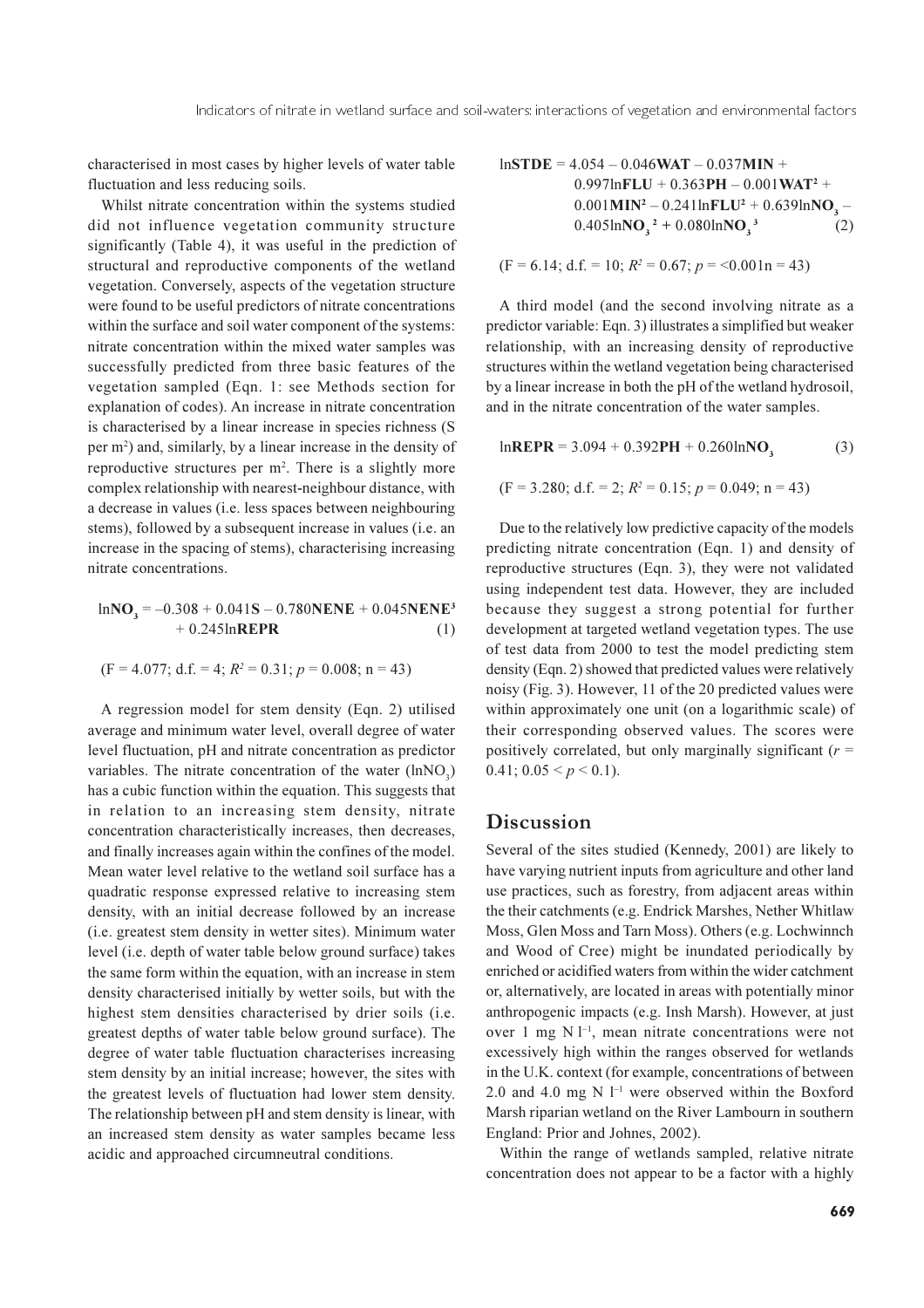characterised in most cases by higher levels of water table fluctuation and less reducing soils.

Whilst nitrate concentration within the systems studied did not influence vegetation community structure significantly (Table 4), it was useful in the prediction of structural and reproductive components of the wetland vegetation. Conversely, aspects of the vegetation structure were found to be useful predictors of nitrate concentrations within the surface and soil water component of the systems: nitrate concentration within the mixed water samples was successfully predicted from three basic features of the vegetation sampled (Eqn. 1: see Methods section for explanation of codes). An increase in nitrate concentration is characterised by a linear increase in species richness (S) per m<sup>2</sup>) and, similarly, by a linear increase in the density of reproductive structures per m<sup>2</sup>. There is a slightly more complex relationship with nearest-neighbour distance, with a decrease in values (i.e. less spaces between neighbouring stems), followed by a subsequent increase in values (i.e. an increase in the spacing of stems), characterising increasing nitrate concentrations.

$$
lnNO3 = -0.308 + 0.041S - 0.780NENE + 0.045NENE3 + 0.245lnREPR
$$
 (1)

$$
(F = 4.077; d.f. = 4; R2 = 0.31; p = 0.008; n = 43)
$$

A regression model for stem density (Eqn. 2) utilised average and minimum water level, overall degree of water level fluctuation, pH and nitrate concentration as predictor variables. The nitrate concentration of the water (lnNO<sub>2</sub>) has a cubic function within the equation. This suggests that in relation to an increasing stem density, nitrate concentration characteristically increases, then decreases, and finally increases again within the confines of the model. Mean water level relative to the wetland soil surface has a quadratic response expressed relative to increasing stem density, with an initial decrease followed by an increase (i.e. greatest stem density in wetter sites). Minimum water level (i.e. depth of water table below ground surface) takes the same form within the equation, with an increase in stem density characterised initially by wetter soils, but with the highest stem densities characterised by drier soils (i.e. greatest depths of water table below ground surface). The degree of water table fluctuation characterises increasing stem density by an initial increase; however, the sites with the greatest levels of fluctuation had lower stem density. The relationship between pH and stem density is linear, with an increased stem density as water samples became less acidic and approached circumneutral conditions.

$$
ln\text{STDE} = 4.054 - 0.046\text{WAT} - 0.037\text{MIN} + 0.997\text{lnFLU} + 0.363\text{PH} - 0.001\text{WAT}^2 + 0.001\text{MIN}^2 - 0.241\text{lnFLU}^2 + 0.639\text{lnNO}_3 - 0.405\text{lnNO}_3^2 + 0.080\text{lnNO}_3^3 \tag{2}
$$

$$
(F = 6.14; d.f. = 10; R^2 = 0.67; p = 0.001n = 43)
$$

A third model (and the second involving nitrate as a predictor variable: Eqn. 3) illustrates a simplified but weaker relationship, with an increasing density of reproductive structures within the wetland vegetation being characterised by a linear increase in both the pH of the wetland hydrosoil, and in the nitrate concentration of the water samples.

lnREPR = 3.094 + 0.392PH + 0.260lnNO<sub>3</sub> (3)  
(F = 3.280; d.f. = 2; 
$$
R^2
$$
 = 0.15;  $p$  = 0.049; n = 43)

Due to the relatively low predictive capacity of the models predicting nitrate concentration (Eqn. 1) and density of reproductive structures (Eqn. 3), they were not validated using independent test data. However, they are included because they suggest a strong potential for further development at targeted wetland vegetation types. The use of test data from 2000 to test the model predicting stem density (Eqn. 2) showed that predicted values were relatively noisy (Fig. 3). However, 11 of the 20 predicted values were within approximately one unit (on a logarithmic scale) of their corresponding observed values. The scores were positively correlated, but only marginally significant ( $r =$ 0.41;  $0.05 \le p \le 0.1$ ).

#### Discussion

Several of the sites studied (Kennedy, 2001) are likely to have varying nutrient inputs from agriculture and other land use practices, such as forestry, from adjacent areas within the their catchments (e.g. Endrick Marshes, Nether Whitlaw Moss, Glen Moss and Tarn Moss). Others (e.g. Lochwinnch and Wood of Cree) might be inundated periodically by enriched or acidified waters from within the wider catchment or, alternatively, are located in areas with potentially minor anthropogenic impacts (e.g. Insh Marsh). However, at just over 1 mg  $N l^{-1}$ , mean nitrate concentrations were not excessively high within the ranges observed for wetlands in the U.K. context (for example, concentrations of between 2.0 and 4.0 mg N  $l^{-1}$  were observed within the Boxford Marsh riparian wetland on the River Lambourn in southern England: Prior and Johnes, 2002).

Within the range of wetlands sampled, relative nitrate concentration does not appear to be a factor with a highly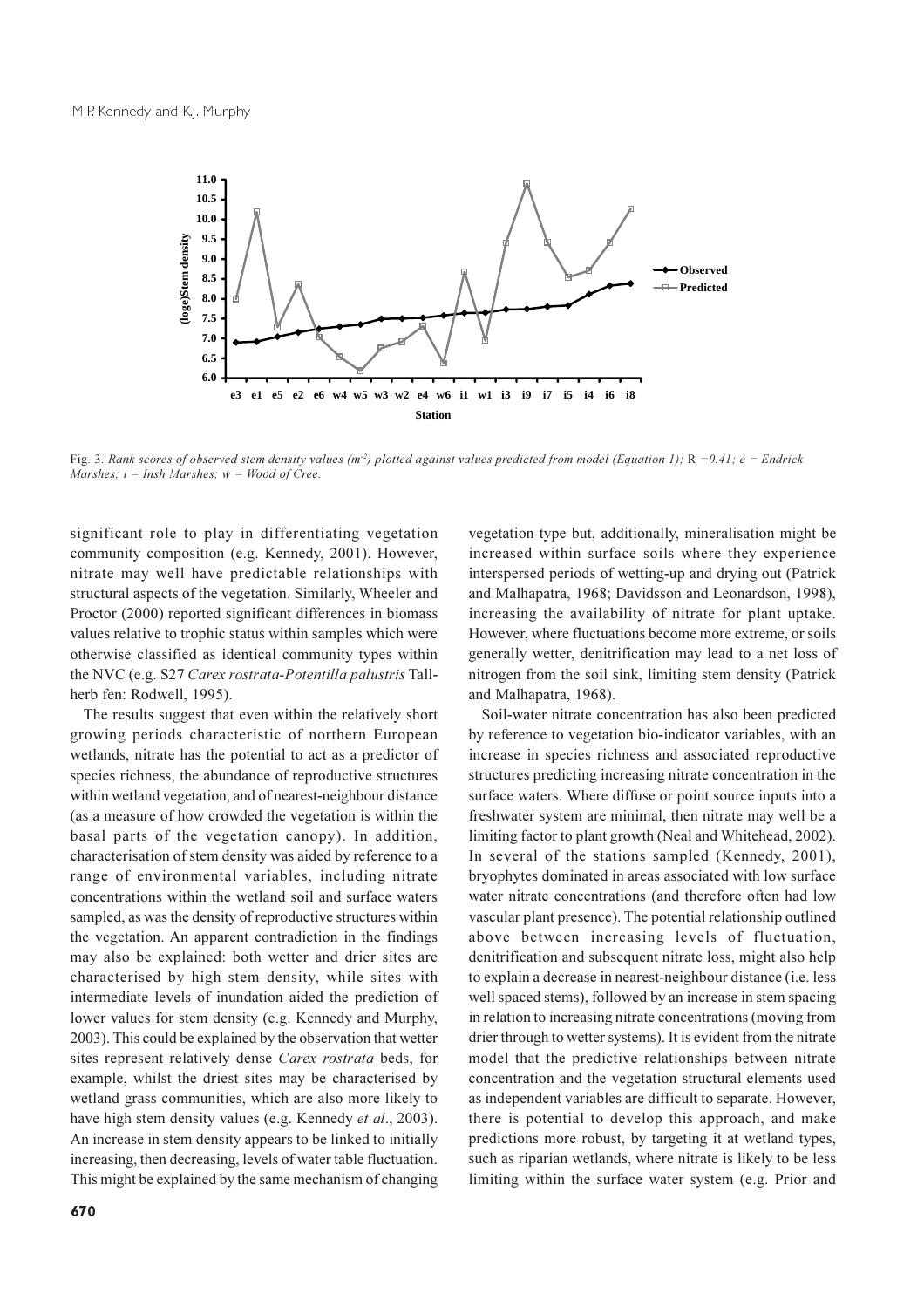

Fig. 3. Rank scores of observed stem density values ( $m^2$ ) plotted against values predicted from model (Equation 1); R =0.41; e = Endrick Marshes:  $i = Insh$  Marshes:  $w = Wood$  of Cree.

significant role to play in differentiating vegetation community composition (e.g. Kennedy, 2001). However, nitrate may well have predictable relationships with structural aspects of the vegetation. Similarly, Wheeler and Proctor (2000) reported significant differences in biomass values relative to trophic status within samples which were otherwise classified as identical community types within the NVC (e.g. S27 Carex rostrata-Potentilla palustris Tallherb fen: Rodwell, 1995).

The results suggest that even within the relatively short growing periods characteristic of northern European wetlands, nitrate has the potential to act as a predictor of species richness, the abundance of reproductive structures within wetland vegetation, and of nearest-neighbour distance (as a measure of how crowded the vegetation is within the basal parts of the vegetation canopy). In addition, characterisation of stem density was aided by reference to a range of environmental variables, including nitrate concentrations within the wetland soil and surface waters sampled, as was the density of reproductive structures within the vegetation. An apparent contradiction in the findings may also be explained: both wetter and drier sites are characterised by high stem density, while sites with intermediate levels of inundation aided the prediction of lower values for stem density (e.g. Kennedy and Murphy, 2003). This could be explained by the observation that wetter sites represent relatively dense Carex rostrata beds, for example, whilst the driest sites may be characterised by wetland grass communities, which are also more likely to have high stem density values (e.g. Kennedy et al., 2003). An increase in stem density appears to be linked to initially increasing, then decreasing, levels of water table fluctuation. This might be explained by the same mechanism of changing

vegetation type but, additionally, mineralisation might be increased within surface soils where they experience interspersed periods of wetting-up and drying out (Patrick and Malhapatra, 1968; Davidsson and Leonardson, 1998), increasing the availability of nitrate for plant uptake. However, where fluctuations become more extreme, or soils generally wetter, denitrification may lead to a net loss of nitrogen from the soil sink, limiting stem density (Patrick and Malhapatra, 1968).

Soil-water nitrate concentration has also been predicted by reference to vegetation bio-indicator variables, with an increase in species richness and associated reproductive structures predicting increasing nitrate concentration in the surface waters. Where diffuse or point source inputs into a freshwater system are minimal, then nitrate may well be a limiting factor to plant growth (Neal and Whitehead, 2002). In several of the stations sampled (Kennedy, 2001), bryophytes dominated in areas associated with low surface water nitrate concentrations (and therefore often had low vascular plant presence). The potential relationship outlined above between increasing levels of fluctuation, denitrification and subsequent nitrate loss, might also help to explain a decrease in nearest-neighbour distance (i.e. less well spaced stems), followed by an increase in stem spacing in relation to increasing nitrate concentrations (moving from drier through to wetter systems). It is evident from the nitrate model that the predictive relationships between nitrate concentration and the vegetation structural elements used as independent variables are difficult to separate. However, there is potential to develop this approach, and make predictions more robust, by targeting it at wetland types, such as riparian wetlands, where nitrate is likely to be less limiting within the surface water system (e.g. Prior and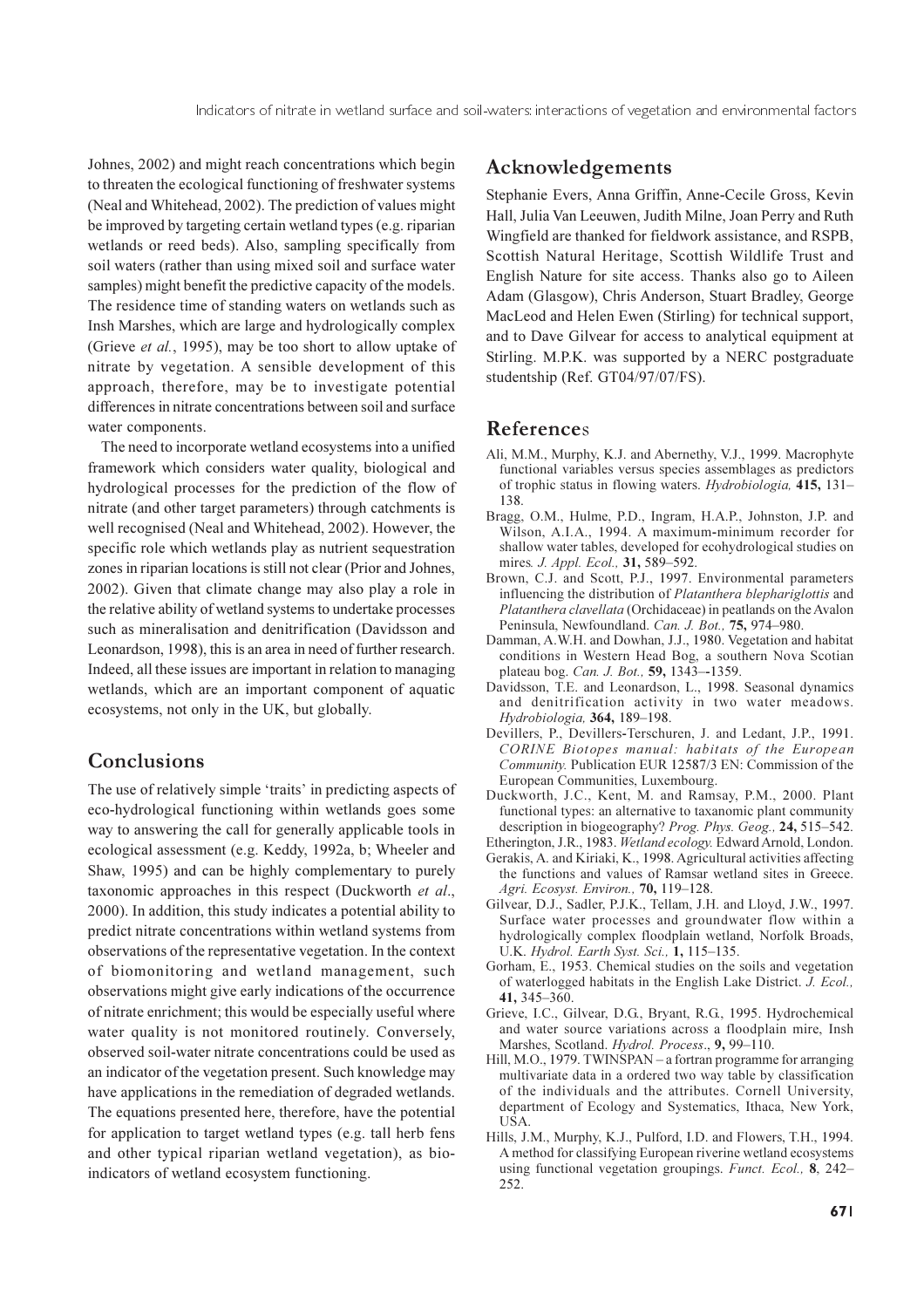Johnes, 2002) and might reach concentrations which begin to threaten the ecological functioning of freshwater systems (Neal and Whitehead, 2002). The prediction of values might be improved by targeting certain wetland types (e.g. riparian wetlands or reed beds). Also, sampling specifically from soil waters (rather than using mixed soil and surface water samples) might benefit the predictive capacity of the models. The residence time of standing waters on wetlands such as Insh Marshes, which are large and hydrologically complex (Grieve et al., 1995), may be too short to allow uptake of nitrate by vegetation. A sensible development of this approach, therefore, may be to investigate potential differences in nitrate concentrations between soil and surface water components.

The need to incorporate wetland ecosystems into a unified framework which considers water quality, biological and hydrological processes for the prediction of the flow of nitrate (and other target parameters) through catchments is well recognised (Neal and Whitehead, 2002). However, the specific role which wetlands play as nutrient sequestration zones in riparian locations is still not clear (Prior and Johnes, 2002). Given that climate change may also play a role in the relative ability of wetland systems to undertake processes such as mineralisation and denitrification (Davidsson and Leonardson, 1998), this is an area in need of further research. Indeed, all these issues are important in relation to managing wetlands, which are an important component of aquatic ecosystems, not only in the UK, but globally.

# Conclusions

The use of relatively simple 'traits' in predicting aspects of eco-hydrological functioning within wetlands goes some way to answering the call for generally applicable tools in ecological assessment (e.g. Keddy, 1992a, b; Wheeler and Shaw, 1995) and can be highly complementary to purely taxonomic approaches in this respect (Duckworth et al., 2000). In addition, this study indicates a potential ability to predict nitrate concentrations within wetland systems from observations of the representative vegetation. In the context of biomonitoring and wetland management, such observations might give early indications of the occurrence of nitrate enrichment; this would be especially useful where water quality is not monitored routinely. Conversely, observed soil-water nitrate concentrations could be used as an indicator of the vegetation present. Such knowledge may have applications in the remediation of degraded wetlands. The equations presented here, therefore, have the potential for application to target wetland types (e.g. tall herb fens and other typical riparian wetland vegetation), as bioindicators of wetland ecosystem functioning.

# Acknowledgements

Stephanie Evers, Anna Griffin, Anne-Cecile Gross, Kevin Hall, Julia Van Leeuwen, Judith Milne, Joan Perry and Ruth Wingfield are thanked for fieldwork assistance, and RSPB, Scottish Natural Heritage, Scottish Wildlife Trust and English Nature for site access. Thanks also go to Aileen Adam (Glasgow), Chris Anderson, Stuart Bradley, George MacLeod and Helen Ewen (Stirling) for technical support, and to Dave Gilvear for access to analytical equipment at Stirling. M.P.K. was supported by a NERC postgraduate studentship (Ref. GT04/97/07/FS).

# References

- Ali, M.M., Murphy, K.J. and Abernethy, V.J., 1999. Macrophyte functional variables versus species assemblages as predictors of trophic status in flowing waters. Hydrobiologia, 415, 131-138.
- Bragg, O.M., Hulme, P.D., Ingram, H.A.P., Johnston, J.P. and Wilson, A.I.A., 1994. A maximum-minimum recorder for shallow water tables, developed for ecohydrological studies on mires. J. Appl. Ecol., 31, 589-592.
- Brown, C.J. and Scott, P.J., 1997. Environmental parameters influencing the distribution of Platanthera blephariglottis and Platanthera clavellata (Orchidaceae) in peatlands on the Avalon Peninsula, Newfoundland. Can. J. Bot., 75, 974-980.
- Damman, A.W.H. and Dowhan, J.J., 1980. Vegetation and habitat conditions in Western Head Bog, a southern Nova Scotian plateau bog. Can. J. Bot., 59, 1343-1359.
- Davidsson, T.E. and Leonardson, L., 1998. Seasonal dynamics and denitrification activity in two water meadows. Hydrobiologia, 364, 189-198.
- Devillers, P., Devillers-Terschuren, J. and Ledant, J.P., 1991. CORINE Biotopes manual: habitats of the European Community. Publication EUR 12587/3 EN: Commission of the European Communities, Luxembourg.
- Duckworth, J.C., Kent, M. and Ramsay, P.M., 2000. Plant functional types: an alternative to taxanomic plant community description in biogeography? Prog. Phys. Geog., 24, 515–542.
- Etherington, J.R., 1983. Wetland ecology. Edward Arnold, London. Gerakis, A. and Kiriaki, K., 1998. Agricultural activities affecting the functions and values of Ramsar wetland sites in Greece. Agri. Ecosyst. Environ., 70, 119-128.
- Gilvear, D.J., Sadler, P.J.K., Tellam, J.H. and Lloyd, J.W., 1997. Surface water processes and groundwater flow within a hydrologically complex floodplain wetland, Norfolk Broads, U.K. Hydrol. Earth Syst. Sci., 1, 115-135.
- Gorham, E., 1953. Chemical studies on the soils and vegetation of waterlogged habitats in the English Lake District. J. Ecol.,  $41, 345 - 360$
- Grieve, I.C., Gilvear, D.G., Bryant, R.G., 1995. Hydrochemical and water source variations across a floodplain mire, Insh Marshes, Scotland. Hydrol. Process., 9, 99-110.
- Hill, M.O., 1979. TWINSPAN a fortran programme for arranging multivariate data in a ordered two way table by classification of the individuals and the attributes. Cornell University, department of Ecology and Systematics, Ithaca, New York, USA.
- Hills, J.M., Murphy, K.J., Pulford, I.D. and Flowers, T.H., 1994. A method for classifying European riverine wetland ecosystems using functional vegetation groupings. Funct. Ecol., 8, 242– 252.